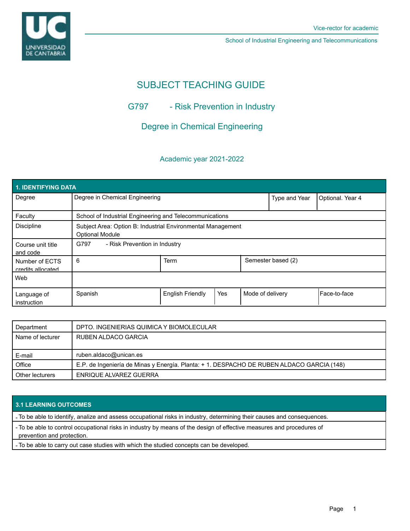

School of Industrial Engineering and Telecommunications

# SUBJECT TEACHING GUIDE

## G797 - Risk Prevention in Industry

## Degree in Chemical Engineering

## Academic year 2021-2022

| 1. IDENTIFYING DATA                 |                                                                                       |                         |     |                    |                  |                |  |  |  |
|-------------------------------------|---------------------------------------------------------------------------------------|-------------------------|-----|--------------------|------------------|----------------|--|--|--|
| Degree                              | Degree in Chemical Engineering                                                        |                         |     | Type and Year      | Optional. Year 4 |                |  |  |  |
| Faculty                             | School of Industrial Engineering and Telecommunications                               |                         |     |                    |                  |                |  |  |  |
| <b>Discipline</b>                   | Subject Area: Option B: Industrial Environmental Management<br><b>Optional Module</b> |                         |     |                    |                  |                |  |  |  |
| Course unit title<br>and code       | G797<br>- Risk Prevention in Industry                                                 |                         |     |                    |                  |                |  |  |  |
| Number of ECTS<br>credits allocated | 6                                                                                     | <b>Term</b>             |     | Semester based (2) |                  |                |  |  |  |
| Web                                 |                                                                                       |                         |     |                    |                  |                |  |  |  |
| Language of<br>instruction          | Spanish                                                                               | <b>English Friendly</b> | Yes | Mode of delivery   |                  | l Face-to-face |  |  |  |

| Department       | DPTO. INGENIERIAS QUIMICA Y BIOMOLECULAR                                                  |  |  |
|------------------|-------------------------------------------------------------------------------------------|--|--|
| Name of lecturer | RUBEN ALDACO GARCIA                                                                       |  |  |
|                  |                                                                                           |  |  |
|                  |                                                                                           |  |  |
| E-mail           | ruben.aldaco@unican.es                                                                    |  |  |
| Office           | E.P. de Ingeniería de Minas y Energía. Planta: + 1. DESPACHO DE RUBEN ALDACO GARCIA (148) |  |  |

### **3.1 LEARNING OUTCOMES**

- To be able to identify, analize and assess occupational risks in industry, determining their causes and consequences.

- To be able to control occupational risks in industry by means of the design of effective measures and procedures of prevention and protection.

- To be able to carry out case studies with which the studied concepts can be developed.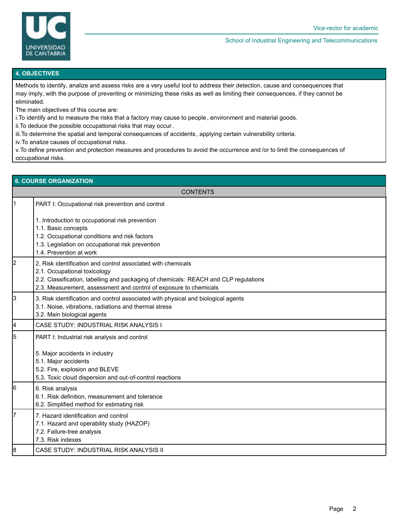

#### School of Industrial Engineering and Telecommunications

#### **4. OBJECTIVES**

Methods to identify, analize and assess risks are a very useful tool to address their detection, cause and consequences that may imply, with the purpose of preventing or minimizing these risks as well as limiting their consequences, if they cannot be eliminated.

The main objectives of this course are:

i.To identify and to measure the risks that a factory may cause to people , environment and material goods.

ii.To deduce the possible occupational risks that may occur.

iii.To determine the spatial and temporal consequences of accidents , applying certain vulnerability criteria.

iv.To analize causes of occupational risks.

v.To define prevention and protection measures and procedures to avoid the occurrence and /or to limit the consequences of occupational risks.

| <b>6. COURSE ORGANIZATION</b> |                                                                                                                                                                                                                                                           |  |  |  |  |
|-------------------------------|-----------------------------------------------------------------------------------------------------------------------------------------------------------------------------------------------------------------------------------------------------------|--|--|--|--|
| <b>CONTENTS</b>               |                                                                                                                                                                                                                                                           |  |  |  |  |
| l1                            | PART I: Occupational risk prevention and control                                                                                                                                                                                                          |  |  |  |  |
|                               | 1. Introduction to occupational risk prevention<br>1.1. Basic concepts<br>1.2. Occupational conditions and risk factors<br>1.3. Legislation on occupational risk prevention<br>1.4. Prevention at work                                                    |  |  |  |  |
| 2                             | 2. Risk identification and control associated with chemicals<br>2.1. Occupational toxicology<br>2.2. Classification, labelling and packaging of chemicals: REACH and CLP regulations<br>2.3. Measurement, assessment and control of exposure to chemicals |  |  |  |  |
| 3                             | 3. Risk identification and control associated with physical and biological agents<br>3.1. Noise, vibrations, radiations and thermal stress<br>3.2. Main biological agents                                                                                 |  |  |  |  |
| 4                             | CASE STUDY: INDUSTRIAL RISK ANALYSIS I                                                                                                                                                                                                                    |  |  |  |  |
| 5                             | PART I: Industrial risk analysis and control<br>5. Major accidents in industry<br>5.1. Major accidents<br>5.2. Fire, explosion and BLEVE<br>5.3. Toxic cloud dispersion and out-of-control reactions                                                      |  |  |  |  |
| 6                             | 6. Risk analysis<br>6.1. Risk definition, measurement and tolerance<br>6.2. Simplified method for estimating risk                                                                                                                                         |  |  |  |  |
| 17                            | 7. Hazard identification and control<br>7.1. Hazard and operability study (HAZOP)<br>7.2. Failure-tree analysis<br>7.3. Risk indexes                                                                                                                      |  |  |  |  |
| 8                             | CASE STUDY: INDUSTRIAL RISK ANALYSIS II                                                                                                                                                                                                                   |  |  |  |  |